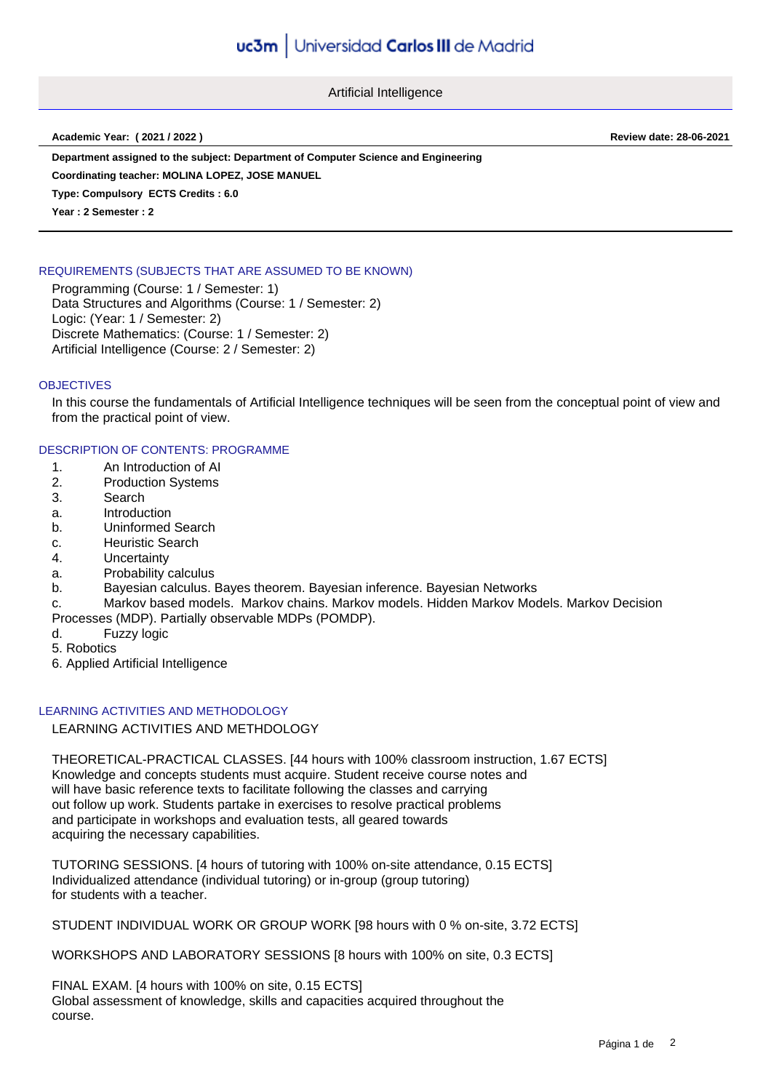Artificial Intelligence

**Academic Year: ( 2021 / 2022 ) Review date: 28-06-2021**

**Department assigned to the subject: Department of Computer Science and Engineering**

**Coordinating teacher: MOLINA LOPEZ, JOSE MANUEL**

**Type: Compulsory ECTS Credits : 6.0**

**Year : 2 Semester : 2**

# REQUIREMENTS (SUBJECTS THAT ARE ASSUMED TO BE KNOWN)

Programming (Course: 1 / Semester: 1) Data Structures and Algorithms (Course: 1 / Semester: 2) Logic: (Year: 1 / Semester: 2) Discrete Mathematics: (Course: 1 / Semester: 2) Artificial Intelligence (Course: 2 / Semester: 2)

## **OBJECTIVES**

In this course the fundamentals of Artificial Intelligence techniques will be seen from the conceptual point of view and from the practical point of view.

DESCRIPTION OF CONTENTS: PROGRAMME

- 1. An Introduction of AI
- 2. Production Systems
- 3. Search
- a. Introduction
- b. Uninformed Search
- c. Heuristic Search
- 4. Uncertainty
- a. Probability calculus
- b. Bayesian calculus. Bayes theorem. Bayesian inference. Bayesian Networks
- c. Markov based models. Markov chains. Markov models. Hidden Markov Models. Markov Decision
- Processes (MDP). Partially observable MDPs (POMDP).
- d. Fuzzy logic
- 5. Robotics
- 6. Applied Artificial Intelligence

## LEARNING ACTIVITIES AND METHODOLOGY

LEARNING ACTIVITIES AND METHDOLOGY

THEORETICAL-PRACTICAL CLASSES. [44 hours with 100% classroom instruction, 1.67 ECTS] Knowledge and concepts students must acquire. Student receive course notes and will have basic reference texts to facilitate following the classes and carrying out follow up work. Students partake in exercises to resolve practical problems and participate in workshops and evaluation tests, all geared towards acquiring the necessary capabilities.

TUTORING SESSIONS. [4 hours of tutoring with 100% on-site attendance, 0.15 ECTS] Individualized attendance (individual tutoring) or in-group (group tutoring) for students with a teacher.

STUDENT INDIVIDUAL WORK OR GROUP WORK [98 hours with 0 % on-site, 3.72 ECTS]

WORKSHOPS AND LABORATORY SESSIONS [8 hours with 100% on site, 0.3 ECTS]

FINAL EXAM. [4 hours with 100% on site, 0.15 ECTS] Global assessment of knowledge, skills and capacities acquired throughout the course.